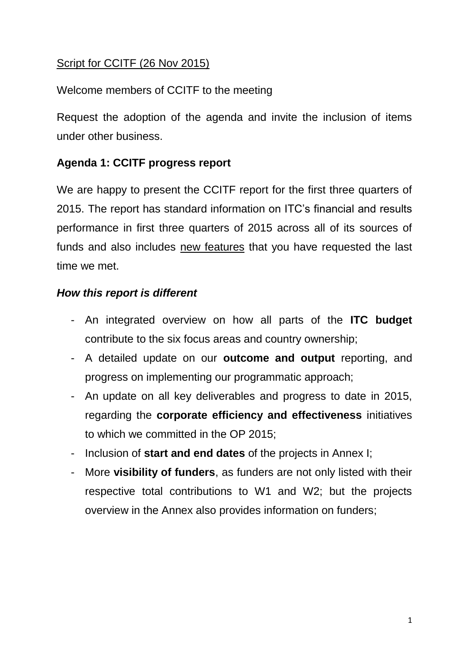# Script for CCITF (26 Nov 2015)

# Welcome members of CCITF to the meeting

Request the adoption of the agenda and invite the inclusion of items under other business.

# **Agenda 1: CCITF progress report**

We are happy to present the CCITF report for the first three quarters of 2015. The report has standard information on ITC's financial and results performance in first three quarters of 2015 across all of its sources of funds and also includes new features that you have requested the last time we met.

#### *How this report is different*

- An integrated overview on how all parts of the **ITC budget** contribute to the six focus areas and country ownership;
- A detailed update on our **outcome and output** reporting, and progress on implementing our programmatic approach;
- An update on all key deliverables and progress to date in 2015, regarding the **corporate efficiency and effectiveness** initiatives to which we committed in the OP 2015;
- Inclusion of **start and end dates** of the projects in Annex I;
- More **visibility of funders**, as funders are not only listed with their respective total contributions to W1 and W2; but the projects overview in the Annex also provides information on funders;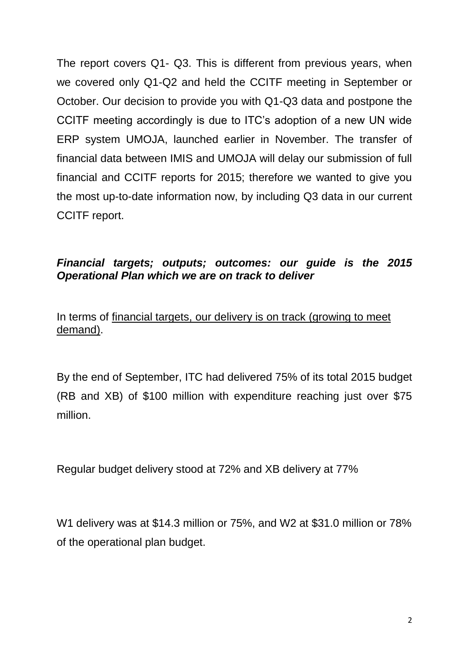The report covers Q1- Q3. This is different from previous years, when we covered only Q1-Q2 and held the CCITF meeting in September or October. Our decision to provide you with Q1-Q3 data and postpone the CCITF meeting accordingly is due to ITC's adoption of a new UN wide ERP system UMOJA, launched earlier in November. The transfer of financial data between IMIS and UMOJA will delay our submission of full financial and CCITF reports for 2015; therefore we wanted to give you the most up-to-date information now, by including Q3 data in our current CCITF report.

### *Financial targets; outputs; outcomes: our guide is the 2015 Operational Plan which we are on track to deliver*

In terms of financial targets, our delivery is on track (growing to meet demand).

By the end of September, ITC had delivered 75% of its total 2015 budget (RB and XB) of \$100 million with expenditure reaching just over \$75 million.

Regular budget delivery stood at 72% and XB delivery at 77%

W1 delivery was at \$14.3 million or 75%, and W2 at \$31.0 million or 78% of the operational plan budget.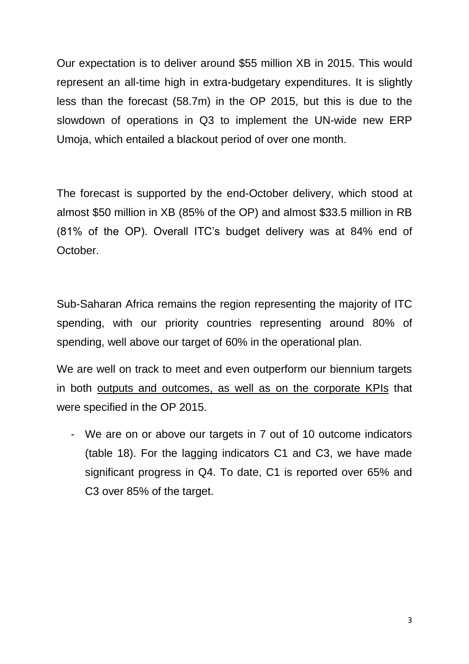Our expectation is to deliver around \$55 million XB in 2015. This would represent an all-time high in extra-budgetary expenditures. It is slightly less than the forecast (58.7m) in the OP 2015, but this is due to the slowdown of operations in Q3 to implement the UN-wide new ERP Umoja, which entailed a blackout period of over one month.

The forecast is supported by the end-October delivery, which stood at almost \$50 million in XB (85% of the OP) and almost \$33.5 million in RB (81% of the OP). Overall ITC's budget delivery was at 84% end of October.

Sub-Saharan Africa remains the region representing the majority of ITC spending, with our priority countries representing around 80% of spending, well above our target of 60% in the operational plan.

We are well on track to meet and even outperform our biennium targets in both outputs and outcomes, as well as on the corporate KPIs that were specified in the OP 2015.

- We are on or above our targets in 7 out of 10 outcome indicators (table 18). For the lagging indicators C1 and C3, we have made significant progress in Q4. To date, C1 is reported over 65% and C3 over 85% of the target.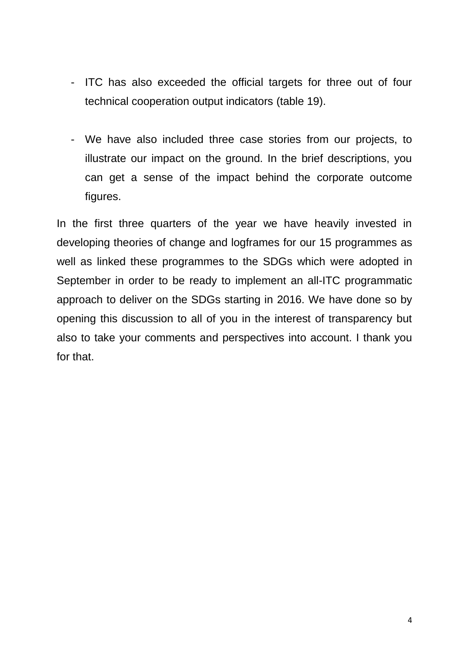- ITC has also exceeded the official targets for three out of four technical cooperation output indicators (table 19).
- We have also included three case stories from our projects, to illustrate our impact on the ground. In the brief descriptions, you can get a sense of the impact behind the corporate outcome figures.

In the first three quarters of the year we have heavily invested in developing theories of change and logframes for our 15 programmes as well as linked these programmes to the SDGs which were adopted in September in order to be ready to implement an all-ITC programmatic approach to deliver on the SDGs starting in 2016. We have done so by opening this discussion to all of you in the interest of transparency but also to take your comments and perspectives into account. I thank you for that.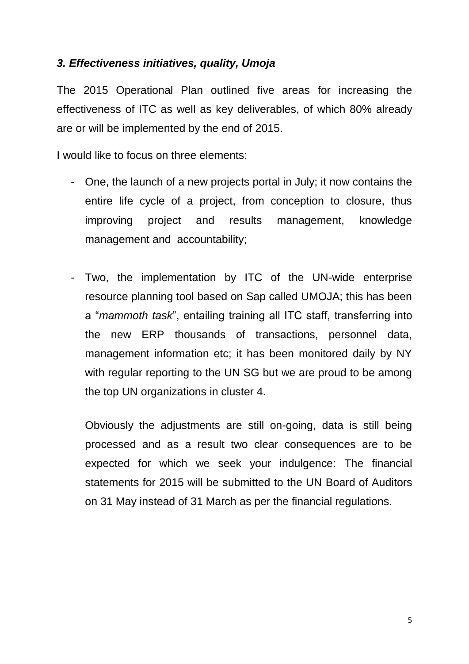#### *3. Effectiveness initiatives, quality, Umoja*

The 2015 Operational Plan outlined five areas for increasing the effectiveness of ITC as well as key deliverables, of which 80% already are or will be implemented by the end of 2015.

I would like to focus on three elements:

- One, the launch of a new projects portal in July; it now contains the entire life cycle of a project, from conception to closure, thus improving project and results management, knowledge management and accountability;
- Two, the implementation by ITC of the UN-wide enterprise resource planning tool based on Sap called UMOJA; this has been a "*mammoth task*", entailing training all ITC staff, transferring into the new ERP thousands of transactions, personnel data, management information etc; it has been monitored daily by NY with regular reporting to the UN SG but we are proud to be among the top UN organizations in cluster 4.

Obviously the adjustments are still on-going, data is still being processed and as a result two clear consequences are to be expected for which we seek your indulgence: The financial statements for 2015 will be submitted to the UN Board of Auditors on 31 May instead of 31 March as per the financial regulations.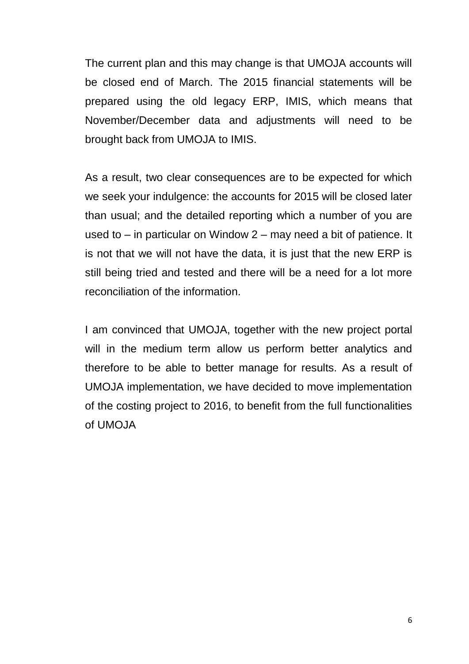The current plan and this may change is that UMOJA accounts will be closed end of March. The 2015 financial statements will be prepared using the old legacy ERP, IMIS, which means that November/December data and adjustments will need to be brought back from UMOJA to IMIS.

As a result, two clear consequences are to be expected for which we seek your indulgence: the accounts for 2015 will be closed later than usual; and the detailed reporting which a number of you are used to – in particular on Window 2 – may need a bit of patience. It is not that we will not have the data, it is just that the new ERP is still being tried and tested and there will be a need for a lot more reconciliation of the information.

I am convinced that UMOJA, together with the new project portal will in the medium term allow us perform better analytics and therefore to be able to better manage for results. As a result of UMOJA implementation, we have decided to move implementation of the costing project to 2016, to benefit from the full functionalities of UMOJA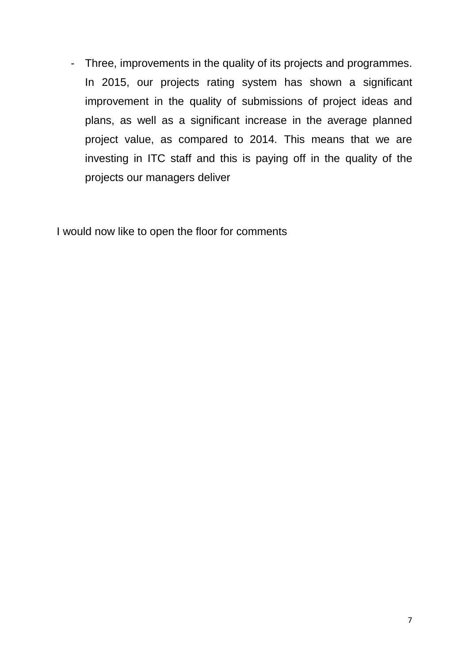- Three, improvements in the quality of its projects and programmes. In 2015, our projects rating system has shown a significant improvement in the quality of submissions of project ideas and plans, as well as a significant increase in the average planned project value, as compared to 2014. This means that we are investing in ITC staff and this is paying off in the quality of the projects our managers deliver

I would now like to open the floor for comments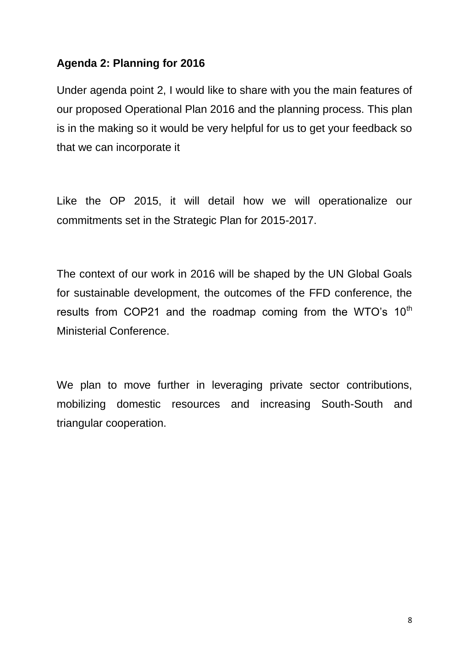### **Agenda 2: Planning for 2016**

Under agenda point 2, I would like to share with you the main features of our proposed Operational Plan 2016 and the planning process. This plan is in the making so it would be very helpful for us to get your feedback so that we can incorporate it

Like the OP 2015, it will detail how we will operationalize our commitments set in the Strategic Plan for 2015-2017.

The context of our work in 2016 will be shaped by the UN Global Goals for sustainable development, the outcomes of the FFD conference, the results from COP21 and the roadmap coming from the WTO's  $10<sup>th</sup>$ Ministerial Conference.

We plan to move further in leveraging private sector contributions, mobilizing domestic resources and increasing South-South and triangular cooperation.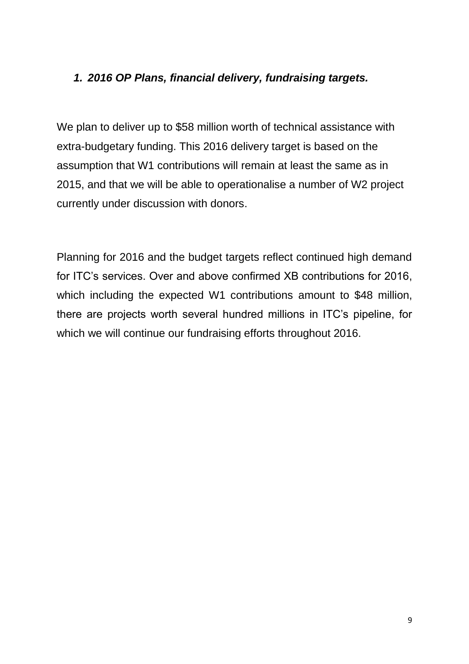## *1. 2016 OP Plans, financial delivery, fundraising targets.*

We plan to deliver up to \$58 million worth of technical assistance with extra-budgetary funding. This 2016 delivery target is based on the assumption that W1 contributions will remain at least the same as in 2015, and that we will be able to operationalise a number of W2 project currently under discussion with donors.

Planning for 2016 and the budget targets reflect continued high demand for ITC's services. Over and above confirmed XB contributions for 2016, which including the expected W1 contributions amount to \$48 million, there are projects worth several hundred millions in ITC's pipeline, for which we will continue our fundraising efforts throughout 2016.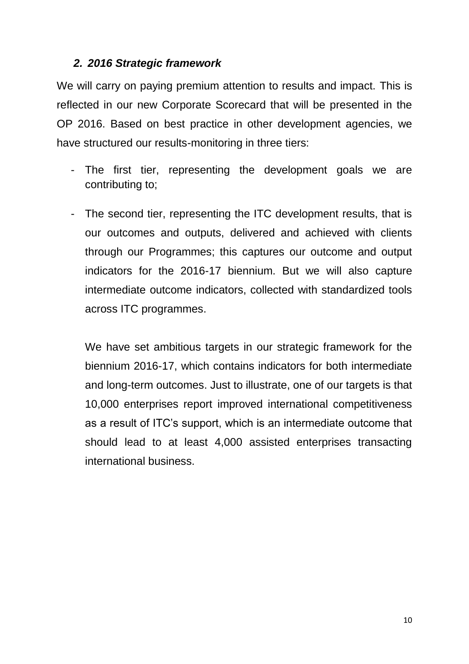#### *2. 2016 Strategic framework*

We will carry on paying premium attention to results and impact. This is reflected in our new Corporate Scorecard that will be presented in the OP 2016. Based on best practice in other development agencies, we have structured our results-monitoring in three tiers:

- The first tier, representing the development goals we are contributing to;
- The second tier, representing the ITC development results, that is our outcomes and outputs, delivered and achieved with clients through our Programmes; this captures our outcome and output indicators for the 2016-17 biennium. But we will also capture intermediate outcome indicators, collected with standardized tools across ITC programmes.

We have set ambitious targets in our strategic framework for the biennium 2016-17, which contains indicators for both intermediate and long-term outcomes. Just to illustrate, one of our targets is that 10,000 enterprises report improved international competitiveness as a result of ITC's support, which is an intermediate outcome that should lead to at least 4,000 assisted enterprises transacting international business.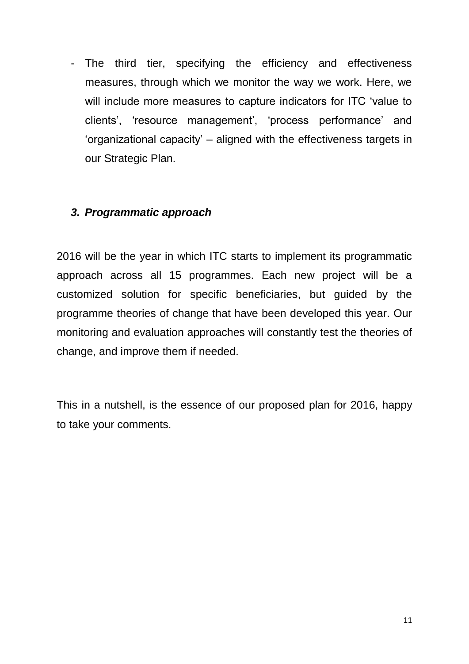- The third tier, specifying the efficiency and effectiveness measures, through which we monitor the way we work. Here, we will include more measures to capture indicators for ITC 'value to clients', 'resource management', 'process performance' and 'organizational capacity' – aligned with the effectiveness targets in our Strategic Plan.

#### *3. Programmatic approach*

2016 will be the year in which ITC starts to implement its programmatic approach across all 15 programmes. Each new project will be a customized solution for specific beneficiaries, but guided by the programme theories of change that have been developed this year. Our monitoring and evaluation approaches will constantly test the theories of change, and improve them if needed.

This in a nutshell, is the essence of our proposed plan for 2016, happy to take your comments.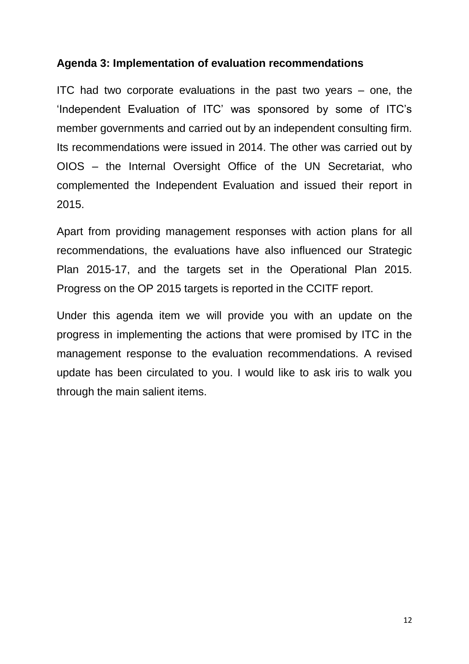#### **Agenda 3: Implementation of evaluation recommendations**

ITC had two corporate evaluations in the past two years – one, the 'Independent Evaluation of ITC' was sponsored by some of ITC's member governments and carried out by an independent consulting firm. Its recommendations were issued in 2014. The other was carried out by OIOS – the Internal Oversight Office of the UN Secretariat, who complemented the Independent Evaluation and issued their report in 2015.

Apart from providing management responses with action plans for all recommendations, the evaluations have also influenced our Strategic Plan 2015-17, and the targets set in the Operational Plan 2015. Progress on the OP 2015 targets is reported in the CCITF report.

Under this agenda item we will provide you with an update on the progress in implementing the actions that were promised by ITC in the management response to the evaluation recommendations. A revised update has been circulated to you. I would like to ask iris to walk you through the main salient items.